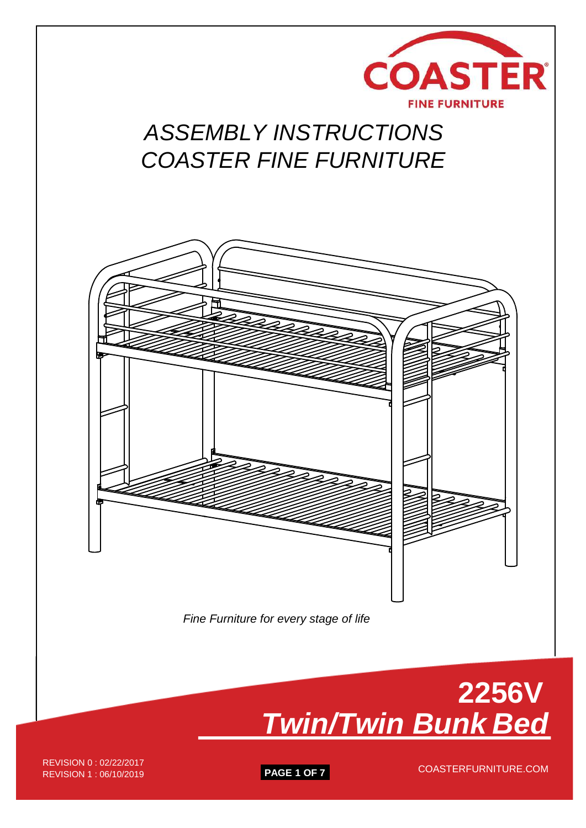

# *ASSEMBLY INSTRUCTIONS COASTER FINE FURNITURE*





REVISION 1 : 06/10/2019 **PAGE 1 OF 7** REVISION 0 : 02/22/2017<br>REVISION 1 : 06/10/2010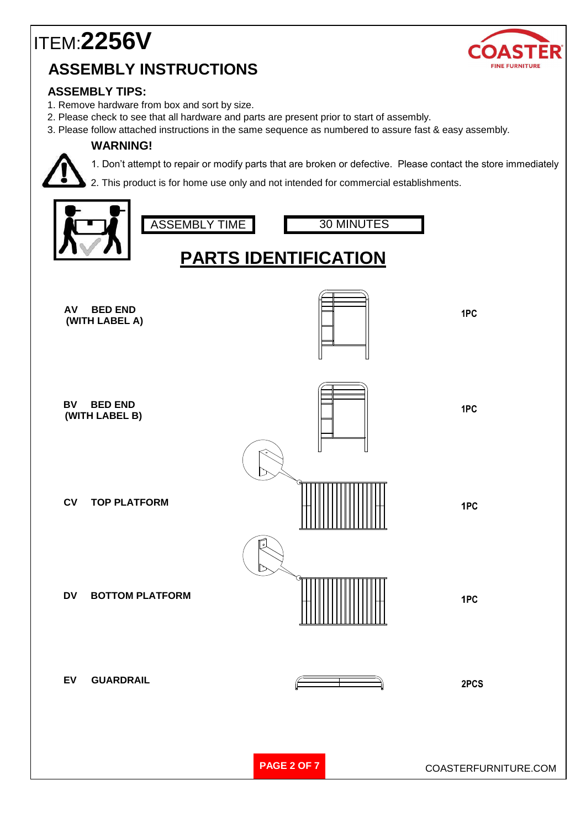

#### **ASSEMBLY TIPS:**

- 1. Remove hardware from box and sort by size.
- 2. Please check to see that all hardware and parts are present prior to start of assembly.
- 3. Please follow attached instructions in the same sequence as numbered to assure fast & easy assembly.

#### **WARNING!**



1. Don't attempt to repair or modify parts that are broken or defective. Please contact the store immediately

2. This product is for home use only and not intended for commercial establishments.

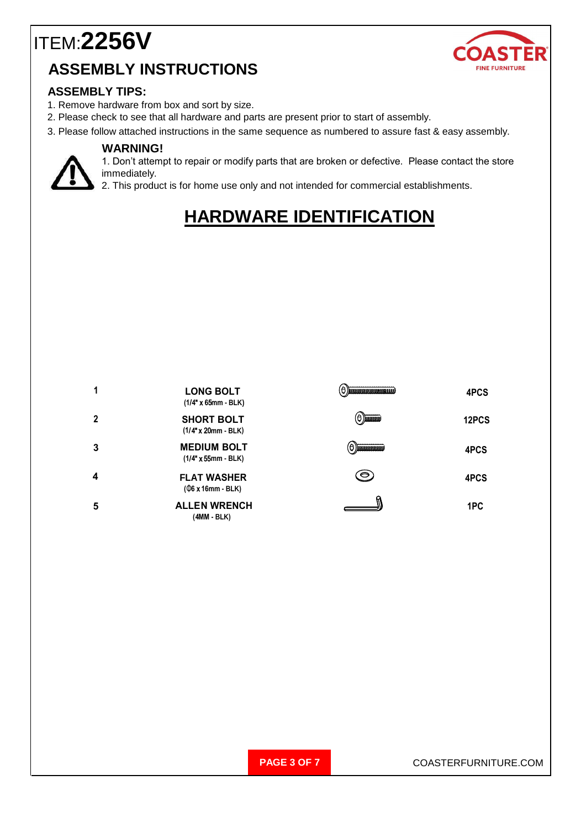

#### **ASSEMBLY TIPS:**

- 1. Remove hardware from box and sort by size.
- 2. Please check to see that all hardware and parts are present prior to start of assembly.
- 3. Please follow attached instructions in the same sequence as numbered to assure fast & easy assembly.

#### **WARNING!**



1. Don't attempt to repair or modify parts that are broken or defective. Please contact the store immediately.

2. This product is for home use only and not intended for commercial establishments.

#### **HARDWARE IDENTIFICATION**

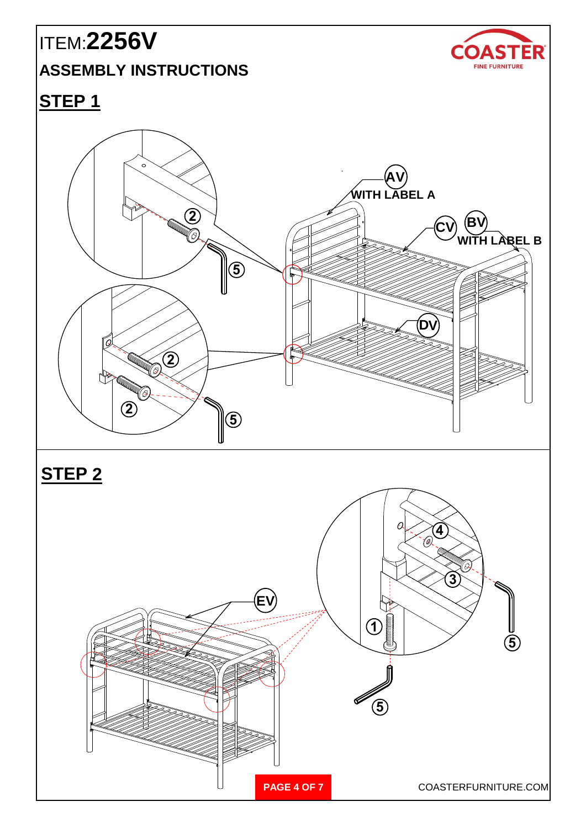# ITEM:**2256V**

### **ASSEMBLY INSTRUCTIONS**



#### **STEP 1**





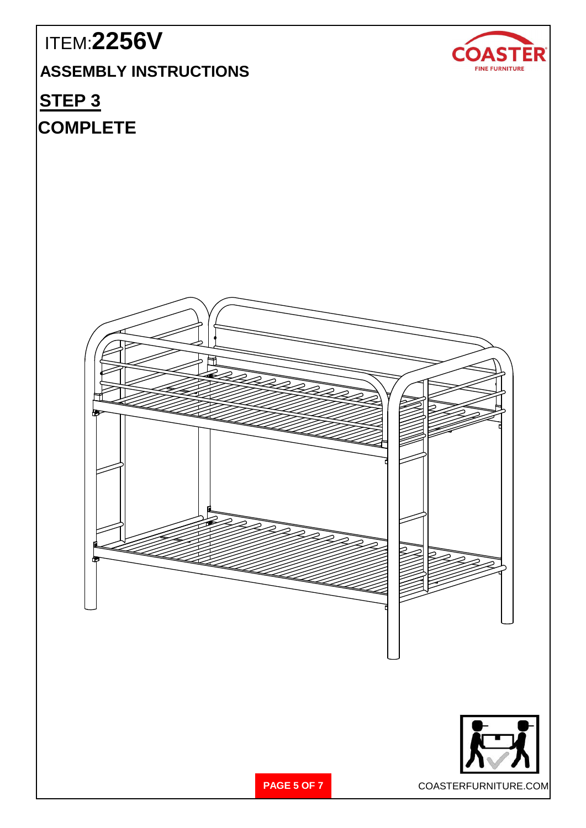# ITEM:**2256V COASTER ASSEMBLY INSTRUCTIONS** FINE FURNITURE **STEP 3 COMPLETEPAGE 5 OF 7** COASTERFURNITURE.COM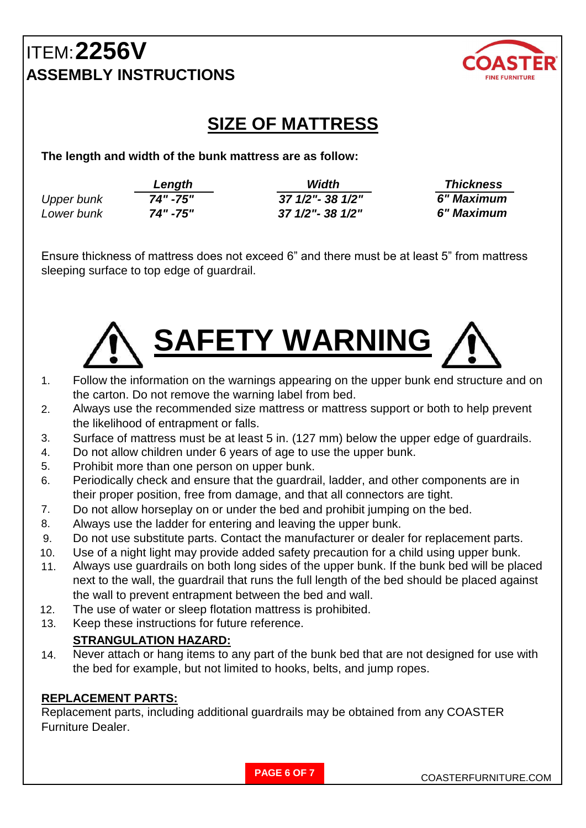

#### **SIZE OF MATTRESS**

**The length and width of the bunk mattress are as follow:**

|                   | Length   | Width             | <b>Thickness</b> |
|-------------------|----------|-------------------|------------------|
| <b>Upper bunk</b> | 74" -75" | 37 1/2" - 38 1/2" | 6" Maximum       |
| Lower bunk        | 74" -75" | 37 1/2"- 38 1/2"  | 6" Maximum       |

Ensure thickness of mattress does not exceed 6" and there must be at least 5" from mattress sleeping surface to top edge of guardrail.



- 1. Follow the information on the warnings appearing on the upper bunk end structure and on the carton. Do not remove the warning label from bed.
- 2. Always use the recommended size mattress or mattress support or both to help prevent the likelihood of entrapment or falls.
- 3. Surface of mattress must be at least 5 in. (127 mm) below the upper edge of guardrails.
- 4. Do not allow children under 6 years of age to use the upper bunk.
- 5. Prohibit more than one person on upper bunk.
- 6. Periodically check and ensure that the guardrail, ladder, and other components are in their proper position, free from damage, and that all connectors are tight.
- 7. Do not allow horseplay on or under the bed and prohibit jumping on the bed.
- 8. Always use the ladder for entering and leaving the upper bunk.
- 9. Do not use substitute parts. Contact the manufacturer or dealer for replacement parts.
- 10. Use of a night light may provide added safety precaution for a child using upper bunk.
- 11. Always use guardrails on both long sides of the upper bunk. If the bunk bed will be placed next to the wall, the guardrail that runs the full length of the bed should be placed against the wall to prevent entrapment between the bed and wall.
- 12. The use of water or sleep flotation mattress is prohibited.
- 13. Keep these instructions for future reference.

#### **STRANGULATION HAZARD:**

14. Never attach or hang items to any part of the bunk bed that are not designed for use with the bed for example, but not limited to hooks, belts, and jump ropes.

#### **REPLACEMENT PARTS:**

Replacement parts, including additional guardrails may be obtained from any COASTER Furniture Dealer.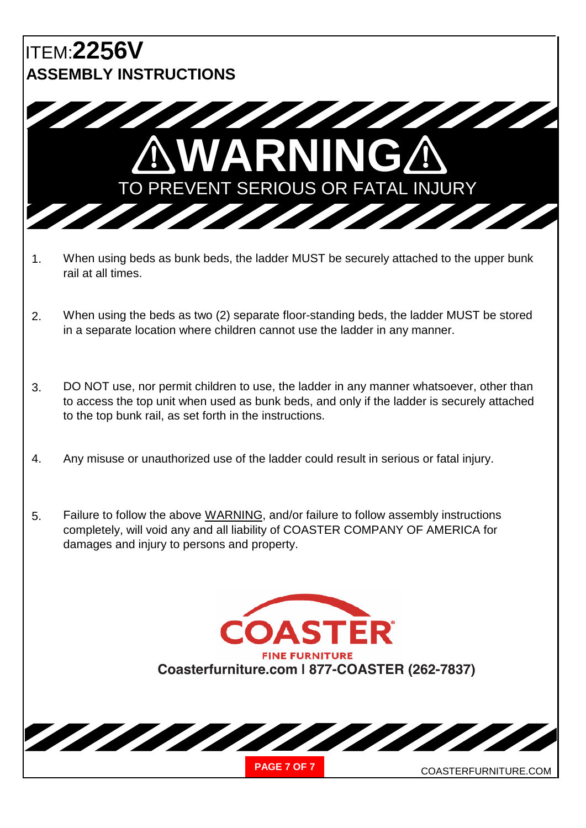

- 1. When using beds as bunk beds, the ladder MUST be securely attached to the upper bunk rail at all times.
- 2. When using the beds as two (2) separate floor-standing beds, the ladder MUST be stored in a separate location where children cannot use the ladder in any manner.
- 3. DO NOT use, nor permit children to use, the ladder in any manner whatsoever, other than to access the top unit when used as bunk beds, and only if the ladder is securely attached to the top bunk rail, as set forth in the instructions.
- 4. Any misuse or unauthorized use of the ladder could result in serious or fatal injury.
- 5. Failure to follow the above WARNING, and/or failure to follow assembly instructions completely, will void any and all liability of COASTER COMPANY OF AMERICA for damages and injury to persons and property.

**ASTER FINE FURNITURE Coasterfurniture.com | 877-COASTER (262-7837)**